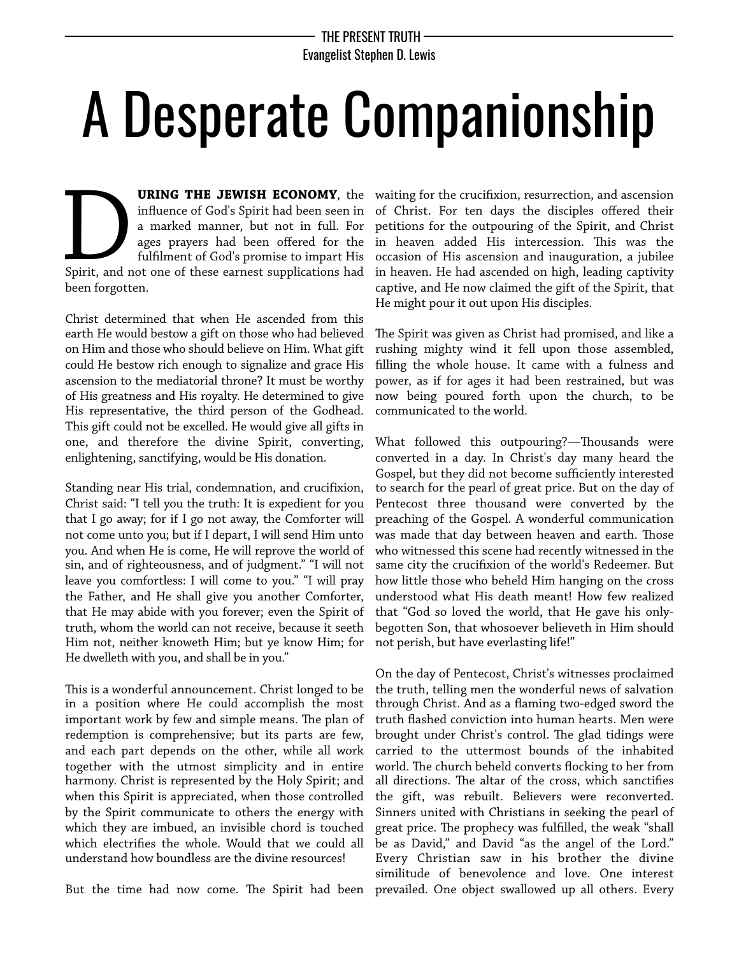## A Desperate Companionship

**URING THE JEWISH ECONOMY**, the infuence of God's Spirit had been seen in a marked manner, but not in full. For ages prayers had been offered for the fulflment of God's promise to impart His **URING THE JEWISH ECONOMY**, the influence of God's Spirit had been seen in a marked manner, but not in full. For ages prayers had been offered for the fulfilment of God's promise to impart His Spirit, and not one of these been forgotten.

Christ determined that when He ascended from this earth He would bestow a gift on those who had believed on Him and those who should believe on Him. What gift could He bestow rich enough to signalize and grace His ascension to the mediatorial throne? It must be worthy of His greatness and His royalty. He determined to give His representative, the third person of the Godhead. This gift could not be excelled. He would give all gifts in one, and therefore the divine Spirit, converting, enlightening, sanctifying, would be His donation.

Standing near His trial, condemnation, and crucifixion, Christ said: "I tell you the truth: It is expedient for you that I go away; for if I go not away, the Comforter will not come unto you; but if I depart, I will send Him unto you. And when He is come, He will reprove the world of sin, and of righteousness, and of judgment." "I will not leave you comfortless: I will come to you." "I will pray the Father, and He shall give you another Comforter, that He may abide with you forever; even the Spirit of truth, whom the world can not receive, because it seeth Him not, neither knoweth Him; but ye know Him; for He dwelleth with you, and shall be in you."

This is a wonderful announcement. Christ longed to be in a position where He could accomplish the most important work by few and simple means. The plan of redemption is comprehensive; but its parts are few, and each part depends on the other, while all work together with the utmost simplicity and in entire harmony. Christ is represented by the Holy Spirit; and when this Spirit is appreciated, when those controlled by the Spirit communicate to others the energy with which they are imbued, an invisible chord is touched which electrifes the whole. Would that we could all understand how boundless are the divine resources!

But the time had now come. The Spirit had been prevailed. One object swallowed up all others. Every

waiting for the crucifxion, resurrection, and ascension of Christ. For ten days the disciples offered their petitions for the outpouring of the Spirit, and Christ in heaven added His intercession. This was the occasion of His ascension and inauguration, a jubilee in heaven. He had ascended on high, leading captivity captive, and He now claimed the gift of the Spirit, that He might pour it out upon His disciples.

The Spirit was given as Christ had promised, and like a rushing mighty wind it fell upon those assembled, flling the whole house. It came with a fulness and power, as if for ages it had been restrained, but was now being poured forth upon the church, to be communicated to the world.

What followed this outpouring?—Thousands were converted in a day. In Christ's day many heard the Gospel, but they did not become sufficiently interested to search for the pearl of great price. But on the day of Pentecost three thousand were converted by the preaching of the Gospel. A wonderful communication was made that day between heaven and earth. Those who witnessed this scene had recently witnessed in the same city the crucifxion of the world's Redeemer. But how little those who beheld Him hanging on the cross understood what His death meant! How few realized that "God so loved the world, that He gave his onlybegotten Son, that whosoever believeth in Him should not perish, but have everlasting life!"

On the day of Pentecost, Christ's witnesses proclaimed the truth, telling men the wonderful news of salvation through Christ. And as a faming two-edged sword the truth fashed conviction into human hearts. Men were brought under Christ's control. The glad tidings were carried to the uttermost bounds of the inhabited world. The church beheld converts flocking to her from all directions. The altar of the cross, which sanctifies the gift, was rebuilt. Believers were reconverted. Sinners united with Christians in seeking the pearl of great price. The prophecy was fulfilled, the weak "shall be as David," and David "as the angel of the Lord." Every Christian saw in his brother the divine similitude of benevolence and love. One interest